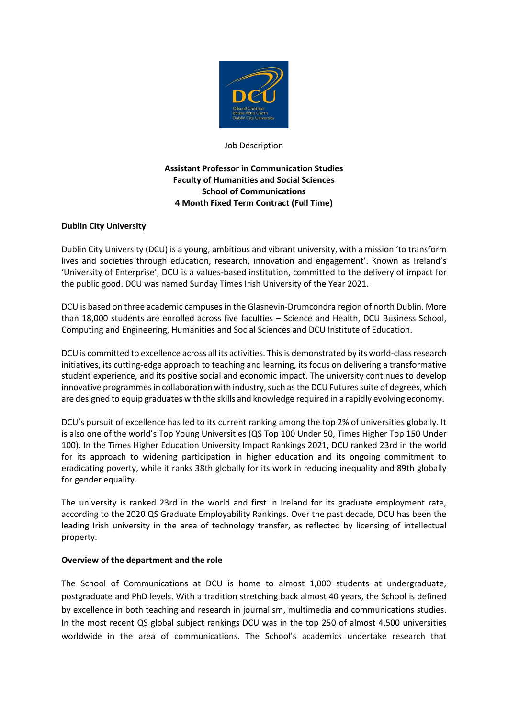

Job Description

## **Assistant Professor in Communication Studies Faculty of Humanities and Social Sciences School of Communications 4 Month Fixed Term Contract (Full Time)**

## **Dublin City University**

Dublin City University (DCU) is a young, ambitious and vibrant university, with a mission 'to transform lives and societies through education, research, innovation and engagement'. Known as Ireland's 'University of Enterprise', DCU is a values-based institution, committed to the delivery of impact for the public good. DCU was named Sunday Times Irish University of the Year 2021.

DCU is based on three academic campuses in the Glasnevin-Drumcondra region of north Dublin. More than 18,000 students are enrolled across five faculties – Science and Health, DCU Business School, Computing and Engineering, Humanities and Social Sciences and DCU Institute of Education.

DCU is committed to excellence across all its activities. This is demonstrated by its world-class research initiatives, its cutting-edge approach to teaching and learning, its focus on delivering a transformative student experience, and its positive social and economic impact. The university continues to develop innovative programmes in collaboration with industry, such as the DCU Futures suite of degrees, which are designed to equip graduates with the skills and knowledge required in a rapidly evolving economy.

DCU's pursuit of excellence has led to its current ranking among the top 2% of universities globally. It is also one of the world's Top Young Universities (QS Top 100 Under 50, Times Higher Top 150 Under 100). In the Times Higher Education University Impact Rankings 2021, DCU ranked 23rd in the world for its approach to widening participation in higher education and its ongoing commitment to eradicating poverty, while it ranks 38th globally for its work in reducing inequality and 89th globally for gender equality.

The university is ranked 23rd in the world and first in Ireland for its graduate employment rate, according to the 2020 QS Graduate Employability Rankings. Over the past decade, DCU has been the leading Irish university in the area of technology transfer, as reflected by licensing of intellectual property.

## **Overview of the department and the role**

The School of Communications at DCU is home to almost 1,000 students at undergraduate, postgraduate and PhD levels. With a tradition stretching back almost 40 years, the School is defined by excellence in both teaching and research in journalism, multimedia and communications studies. In the most recent QS global subject rankings DCU was in the top 250 of almost 4,500 universities worldwide in the area of communications. The School's academics undertake research that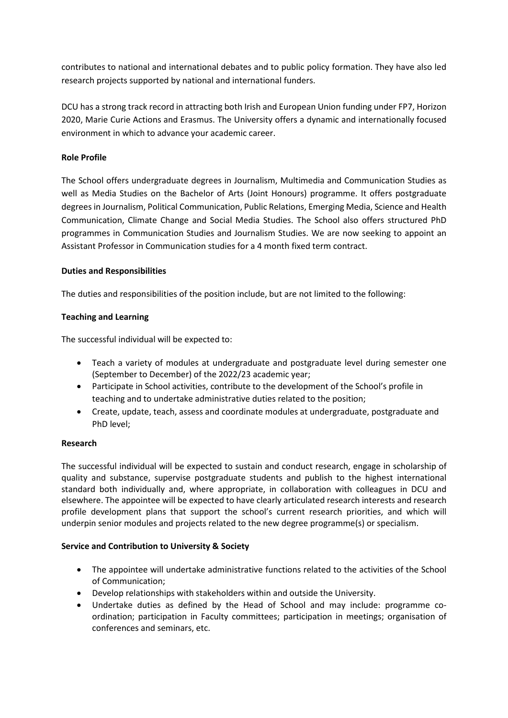contributes to national and international debates and to public policy formation. They have also led research projects supported by national and international funders.

DCU has a strong track record in attracting both Irish and European Union funding under FP7, Horizon 2020, Marie Curie Actions and Erasmus. The University offers a dynamic and internationally focused environment in which to advance your academic career.

## **Role Profile**

The School offers undergraduate degrees in Journalism, Multimedia and Communication Studies as well as Media Studies on the Bachelor of Arts (Joint Honours) programme. It offers postgraduate degrees in Journalism, Political Communication, Public Relations, Emerging Media, Science and Health Communication, Climate Change and Social Media Studies. The School also offers structured PhD programmes in Communication Studies and Journalism Studies. We are now seeking to appoint an Assistant Professor in Communication studies for a 4 month fixed term contract.

## **Duties and Responsibilities**

The duties and responsibilities of the position include, but are not limited to the following:

# **Teaching and Learning**

The successful individual will be expected to:

- Teach a variety of modules at undergraduate and postgraduate level during semester one (September to December) of the 2022/23 academic year;
- Participate in School activities, contribute to the development of the School's profile in teaching and to undertake administrative duties related to the position;
- Create, update, teach, assess and coordinate modules at undergraduate, postgraduate and PhD level;

## **Research**

The successful individual will be expected to sustain and conduct research, engage in scholarship of quality and substance, supervise postgraduate students and publish to the highest international standard both individually and, where appropriate, in collaboration with colleagues in DCU and elsewhere. The appointee will be expected to have clearly articulated research interests and research profile development plans that support the school's current research priorities, and which will underpin senior modules and projects related to the new degree programme(s) or specialism.

## **Service and Contribution to University & Society**

- The appointee will undertake administrative functions related to the activities of the School of Communication;
- Develop relationships with stakeholders within and outside the University.
- Undertake duties as defined by the Head of School and may include: programme coordination; participation in Faculty committees; participation in meetings; organisation of conferences and seminars, etc.